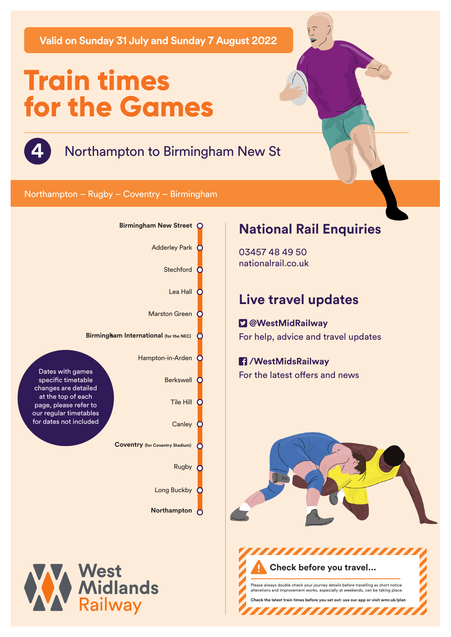**Valid on Sunday 31 July and Sunday 7 August 2022**

# **Train times for the Games**



**4** Northampton to Birmingham New St

#### Northampton – Rugby – Coventry – Birmingham





# **National Rail Enquiries**

03457 48 49 50 nationalrail.co.uk

# **Live travel updates**

### **@WestMidRailway** For help, advice and travel updates

## **/WestMidsRailway**

For the latest offers and news